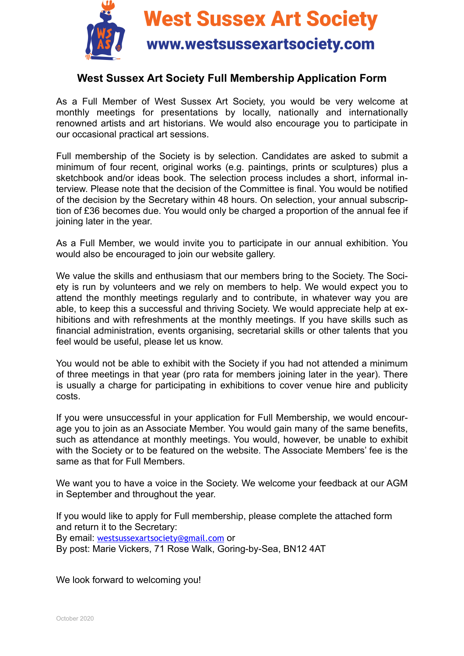

**West Sussex Art Society** 

## www.westsussexartsociety.com

## **West Sussex Art Society Full Membership Application Form**

As a Full Member of West Sussex Art Society, you would be very welcome at monthly meetings for presentations by locally, nationally and internationally renowned artists and art historians. We would also encourage you to participate in our occasional practical art sessions.

Full membership of the Society is by selection. Candidates are asked to submit a minimum of four recent, original works (e.g. paintings, prints or sculptures) plus a sketchbook and/or ideas book. The selection process includes a short, informal interview. Please note that the decision of the Committee is final. You would be notified of the decision by the Secretary within 48 hours. On selection, your annual subscription of £36 becomes due. You would only be charged a proportion of the annual fee if joining later in the year.

As a Full Member, we would invite you to participate in our annual exhibition. You would also be encouraged to join our website gallery.

We value the skills and enthusiasm that our members bring to the Society. The Society is run by volunteers and we rely on members to help. We would expect you to attend the monthly meetings regularly and to contribute, in whatever way you are able, to keep this a successful and thriving Society. We would appreciate help at exhibitions and with refreshments at the monthly meetings. If you have skills such as financial administration, events organising, secretarial skills or other talents that you feel would be useful, please let us know.

You would not be able to exhibit with the Society if you had not attended a minimum of three meetings in that year (pro rata for members joining later in the year). There is usually a charge for participating in exhibitions to cover venue hire and publicity costs.

If you were unsuccessful in your application for Full Membership, we would encourage you to join as an Associate Member. You would gain many of the same benefits, such as attendance at monthly meetings. You would, however, be unable to exhibit with the Society or to be featured on the website. The Associate Members' fee is the same as that for Full Members.

We want you to have a voice in the Society. We welcome your feedback at our AGM in September and throughout the year.

If you would like to apply for Full membership, please complete the attached form and return it to the Secretary:

By email: [westsussexartsociety@gmail.com](mailto:westsussexartsociety@gmail.com) or

By post: Marie Vickers, 71 Rose Walk, Goring-by-Sea, BN12 4AT

We look forward to welcoming you!